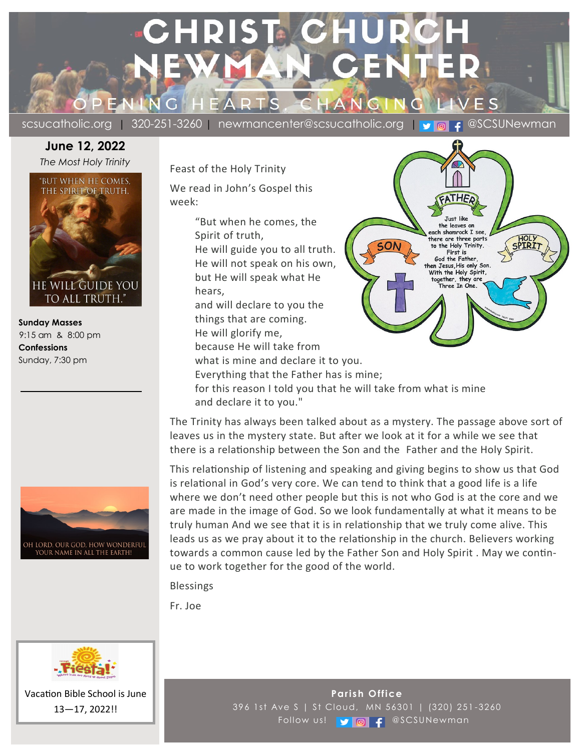# **CHRIST C** PEN  $N G$

scsucatholic.org | 320-251-3260 | newmancenter@scsucatholic.org | v | a | f @SCSUNewman

HOLY

Œ

**Tust like** the leaves on each shamrock I see,

there are three parts to the Holy Trinity. First is God the Father, en Jesus, His only Son. With the Holy Spirit, together, they are

Three In One.

## **June 12, 2022** *The Most Holy Trinity*



 **Sunday Masses** 9:15 am & 8:00 pm  **Confessions** Sunday, 7:30 pm



Feast of the Holy Trinity

We read in John's Gospel this week:

> "But when he comes, the Spirit of truth, He will guide you to all truth. He will not speak on his own, but He will speak what He hears, and will declare to you the things that are coming. He will glorify me, because He will take from

what is mine and declare it to you.

Everything that the Father has is mine;

for this reason I told you that he will take from what is mine and declare it to you."

The Trinity has always been talked about as a mystery. The passage above sort of leaves us in the mystery state. But after we look at it for a while we see that there is a relationship between the Son and the Father and the Holy Spirit.

This relationship of listening and speaking and giving begins to show us that God is relational in God's very core. We can tend to think that a good life is a life where we don't need other people but this is not who God is at the core and we are made in the image of God. So we look fundamentally at what it means to be truly human And we see that it is in relationship that we truly come alive. This leads us as we pray about it to the relationship in the church. Believers working towards a common cause led by the Father Son and Holy Spirit . May we continue to work together for the good of the world.

Blessings

Fr. Joe



Vacation Bible School is June 13—17, 2022!!

**Parish Office** 396 1st Ave S | St Cloud, MN 56301 | (320) 251 -3260 Follow us! **y @** f @SCSUNewman